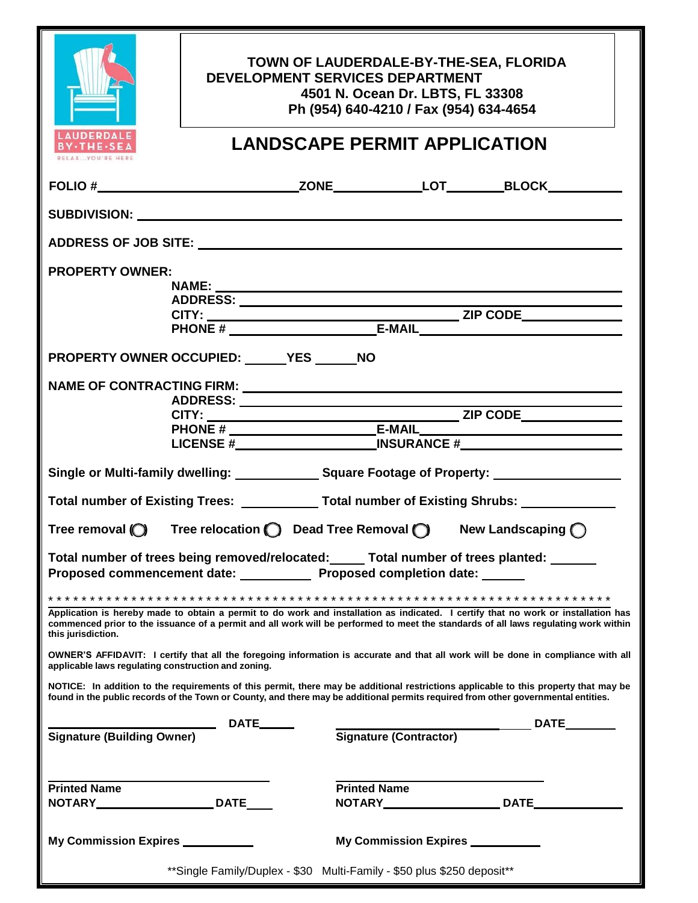| <b>LAUDERDALE</b><br>$\cdot$ THE $\cdot$ SE                                                                                                                                                                                                                                                     |  | TOWN OF LAUDERDALE-BY-THE-SEA, FLORIDA<br><b>DEVELOPMENT SERVICES DEPARTMENT</b><br>4501 N. Ocean Dr. LBTS, FL 33308<br>Ph (954) 640-4210 / Fax (954) 634-4654<br><b>LANDSCAPE PERMIT APPLICATION</b> |                                    |  |
|-------------------------------------------------------------------------------------------------------------------------------------------------------------------------------------------------------------------------------------------------------------------------------------------------|--|-------------------------------------------------------------------------------------------------------------------------------------------------------------------------------------------------------|------------------------------------|--|
|                                                                                                                                                                                                                                                                                                 |  |                                                                                                                                                                                                       |                                    |  |
|                                                                                                                                                                                                                                                                                                 |  |                                                                                                                                                                                                       |                                    |  |
|                                                                                                                                                                                                                                                                                                 |  |                                                                                                                                                                                                       |                                    |  |
| <b>PROPERTY OWNER:</b>                                                                                                                                                                                                                                                                          |  |                                                                                                                                                                                                       |                                    |  |
|                                                                                                                                                                                                                                                                                                 |  |                                                                                                                                                                                                       |                                    |  |
|                                                                                                                                                                                                                                                                                                 |  |                                                                                                                                                                                                       |                                    |  |
|                                                                                                                                                                                                                                                                                                 |  |                                                                                                                                                                                                       |                                    |  |
|                                                                                                                                                                                                                                                                                                 |  |                                                                                                                                                                                                       |                                    |  |
| PROPERTY OWNER OCCUPIED: YES ______ NO                                                                                                                                                                                                                                                          |  |                                                                                                                                                                                                       |                                    |  |
|                                                                                                                                                                                                                                                                                                 |  |                                                                                                                                                                                                       |                                    |  |
|                                                                                                                                                                                                                                                                                                 |  | NAME OF CONTRACTING FIRM: University of the CONTRACTING FIRM:                                                                                                                                         |                                    |  |
|                                                                                                                                                                                                                                                                                                 |  |                                                                                                                                                                                                       |                                    |  |
|                                                                                                                                                                                                                                                                                                 |  |                                                                                                                                                                                                       |                                    |  |
|                                                                                                                                                                                                                                                                                                 |  |                                                                                                                                                                                                       |                                    |  |
|                                                                                                                                                                                                                                                                                                 |  |                                                                                                                                                                                                       |                                    |  |
| Single or Multi-family dwelling: Square Footage of Property: ___________________                                                                                                                                                                                                                |  |                                                                                                                                                                                                       |                                    |  |
| Total number of Existing Trees: _____________Total number of Existing Shrubs: _______________                                                                                                                                                                                                   |  |                                                                                                                                                                                                       |                                    |  |
| Tree relocation $\bigcirc$ Dead Tree Removal $\bigcirc$<br>New Landscaping $\bigcap$<br>Tree removal $\bigcirc$                                                                                                                                                                                 |  |                                                                                                                                                                                                       |                                    |  |
| Total number of trees being removed/relocated: _____ Total number of trees planted: ______<br>Proposed commencement date: ____________ Proposed completion date: ______                                                                                                                         |  |                                                                                                                                                                                                       |                                    |  |
|                                                                                                                                                                                                                                                                                                 |  |                                                                                                                                                                                                       |                                    |  |
| Application is hereby made to obtain a permit to do work and installation as indicated. I certify that no work or installation has<br>commenced prior to the issuance of a permit and all work will be performed to meet the standards of all laws regulating work within<br>this jurisdiction. |  |                                                                                                                                                                                                       |                                    |  |
| OWNER'S AFFIDAVIT: I certify that all the foregoing information is accurate and that all work will be done in compliance with all<br>applicable laws regulating construction and zoning.                                                                                                        |  |                                                                                                                                                                                                       |                                    |  |
| NOTICE: In addition to the requirements of this permit, there may be additional restrictions applicable to this property that may be<br>found in the public records of the Town or County, and there may be additional permits required from other governmental entities.                       |  |                                                                                                                                                                                                       |                                    |  |
|                                                                                                                                                                                                                                                                                                 |  |                                                                                                                                                                                                       |                                    |  |
| Signature (Building Owner) DATE______                                                                                                                                                                                                                                                           |  |                                                                                                                                                                                                       | Signature (Contractor) DATE_______ |  |
|                                                                                                                                                                                                                                                                                                 |  |                                                                                                                                                                                                       |                                    |  |
| <b>Printed Name</b>                                                                                                                                                                                                                                                                             |  | <b>Printed Name</b>                                                                                                                                                                                   |                                    |  |
| NOTARY___________________________DATE_____                                                                                                                                                                                                                                                      |  |                                                                                                                                                                                                       | NOTARY DATE DATE                   |  |
|                                                                                                                                                                                                                                                                                                 |  |                                                                                                                                                                                                       |                                    |  |
| My Commission Expires __________                                                                                                                                                                                                                                                                |  | My Commission Expires __________                                                                                                                                                                      |                                    |  |
| **Single Family/Duplex - \$30 Multi-Family - \$50 plus \$250 deposit**                                                                                                                                                                                                                          |  |                                                                                                                                                                                                       |                                    |  |